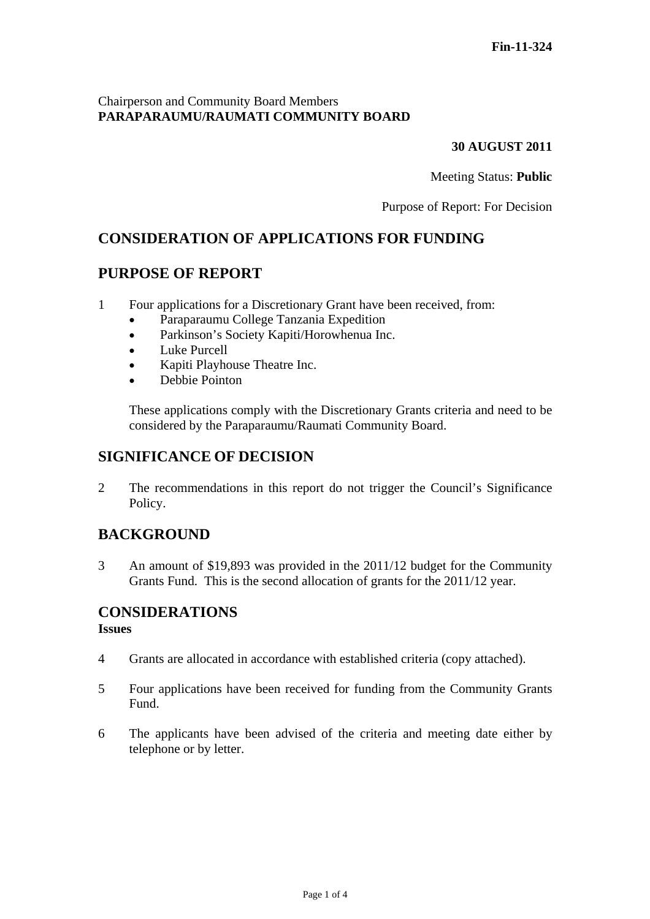### Chairperson and Community Board Members **PARAPARAUMU/RAUMATI COMMUNITY BOARD**

#### **30 AUGUST 2011**

Meeting Status: **Public**

Purpose of Report: For Decision

## **CONSIDERATION OF APPLICATIONS FOR FUNDING**

## **PURPOSE OF REPORT**

- 1 Four applications for a Discretionary Grant have been received, from:
	- Paraparaumu College Tanzania Expedition
	- Parkinson's Society Kapiti/Horowhenua Inc.
	- Luke Purcell
	- Kapiti Playhouse Theatre Inc.
	- Debbie Pointon

These applications comply with the Discretionary Grants criteria and need to be considered by the Paraparaumu/Raumati Community Board.

## **SIGNIFICANCE OF DECISION**

2 The recommendations in this report do not trigger the Council's Significance Policy.

## **BACKGROUND**

3 An amount of \$19,893 was provided in the 2011/12 budget for the Community Grants Fund. This is the second allocation of grants for the 2011/12 year.

# **CONSIDERATIONS**

#### **Issues**

- 4 Grants are allocated in accordance with established criteria (copy attached).
- 5 Four applications have been received for funding from the Community Grants Fund.
- 6 The applicants have been advised of the criteria and meeting date either by telephone or by letter.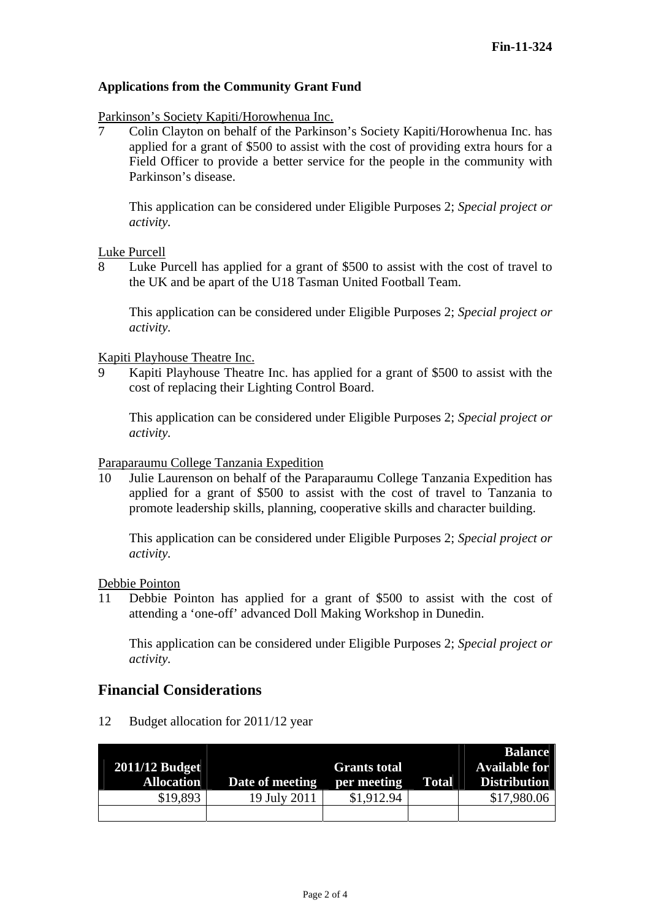#### **Applications from the Community Grant Fund**

Parkinson's Society Kapiti/Horowhenua Inc.

7 Colin Clayton on behalf of the Parkinson's Society Kapiti/Horowhenua Inc. has applied for a grant of \$500 to assist with the cost of providing extra hours for a Field Officer to provide a better service for the people in the community with Parkinson's disease.

This application can be considered under Eligible Purposes 2; *Special project or activity.* 

Luke Purcell

8 Luke Purcell has applied for a grant of \$500 to assist with the cost of travel to the UK and be apart of the U18 Tasman United Football Team.

This application can be considered under Eligible Purposes 2; *Special project or activity.* 

Kapiti Playhouse Theatre Inc.

9 Kapiti Playhouse Theatre Inc. has applied for a grant of \$500 to assist with the cost of replacing their Lighting Control Board.

This application can be considered under Eligible Purposes 2; *Special project or activity.* 

Paraparaumu College Tanzania Expedition

10 Julie Laurenson on behalf of the Paraparaumu College Tanzania Expedition has applied for a grant of \$500 to assist with the cost of travel to Tanzania to promote leadership skills, planning, cooperative skills and character building.

This application can be considered under Eligible Purposes 2; *Special project or activity.* 

Debbie Pointon

11 Debbie Pointon has applied for a grant of \$500 to assist with the cost of attending a 'one-off' advanced Doll Making Workshop in Dunedin.

This application can be considered under Eligible Purposes 2; *Special project or activity.* 

### **Financial Considerations**

12 Budget allocation for 2011/12 year

|                   |                 |                     |              | <b>Balance</b>       |
|-------------------|-----------------|---------------------|--------------|----------------------|
| $2011/12$ Budget  |                 | <b>Grants total</b> |              | <b>Available for</b> |
| <b>Allocation</b> | Date of meeting | per meeting         | <b>Total</b> | <b>Distribution</b>  |
| \$19,893          | 19 July 2011    | \$1,912.94          |              | \$17,980.06          |
|                   |                 |                     |              |                      |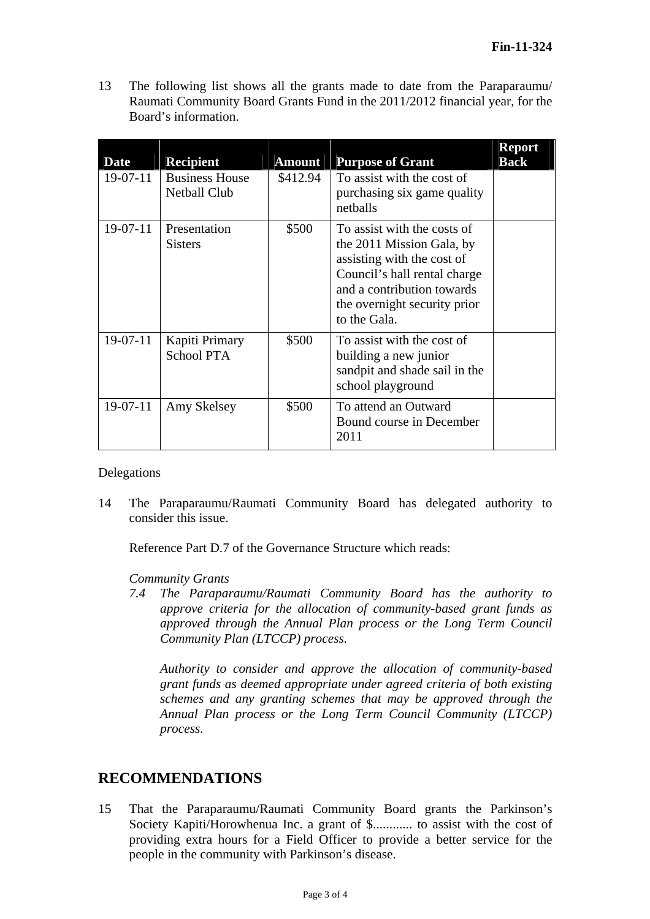13 The following list shows all the grants made to date from the Paraparaumu/ Raumati Community Board Grants Fund in the 2011/2012 financial year, for the Board's information.

| <b>Date</b> | <b>Recipient</b>                             | <b>Amount</b> | <b>Purpose of Grant</b>                                                                                                                                                                              | <b>Report</b><br><b>Back</b> |
|-------------|----------------------------------------------|---------------|------------------------------------------------------------------------------------------------------------------------------------------------------------------------------------------------------|------------------------------|
| $19-07-11$  | <b>Business House</b><br><b>Netball Club</b> | \$412.94      | To assist with the cost of<br>purchasing six game quality<br>netballs                                                                                                                                |                              |
| 19-07-11    | Presentation<br><b>Sisters</b>               | \$500         | To assist with the costs of<br>the 2011 Mission Gala, by<br>assisting with the cost of<br>Council's hall rental charge<br>and a contribution towards<br>the overnight security prior<br>to the Gala. |                              |
| $19-07-11$  | Kapiti Primary<br><b>School PTA</b>          | \$500         | To assist with the cost of<br>building a new junior<br>sandpit and shade sail in the<br>school playground                                                                                            |                              |
| $19-07-11$  | Amy Skelsey                                  | \$500         | To attend an Outward<br>Bound course in December<br>2011                                                                                                                                             |                              |

Delegations

14 The Paraparaumu/Raumati Community Board has delegated authority to consider this issue.

Reference Part D.7 of the Governance Structure which reads:

#### *Community Grants*

*7.4 The Paraparaumu/Raumati Community Board has the authority to approve criteria for the allocation of community-based grant funds as approved through the Annual Plan process or the Long Term Council Community Plan (LTCCP) process.* 

*Authority to consider and approve the allocation of community-based grant funds as deemed appropriate under agreed criteria of both existing schemes and any granting schemes that may be approved through the Annual Plan process or the Long Term Council Community (LTCCP) process.* 

## **RECOMMENDATIONS**

15 That the Paraparaumu/Raumati Community Board grants the Parkinson's Society Kapiti/Horowhenua Inc. a grant of \$............ to assist with the cost of providing extra hours for a Field Officer to provide a better service for the people in the community with Parkinson's disease.